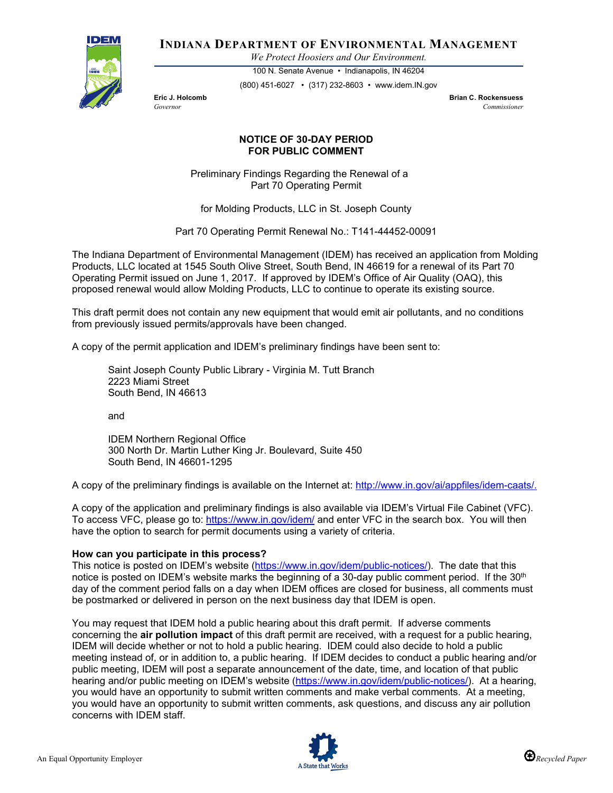

**INDIANA DEPARTMENT OF ENVIRONMENTAL MANAGEMENT**

*We Protect Hoosiers and Our Environment.*

100 N. Senate Avenue • Indianapolis, IN 46204 (800) 451-6027 • (317) 232-8603 • www.idem.IN.gov

**Eric J. Holcomb Brian C. Rockensuess** *Governor Commissioner* 

## **NOTICE OF 30-DAY PERIOD FOR PUBLIC COMMENT**

Preliminary Findings Regarding the Renewal of a Part 70 Operating Permit

for Molding Products, LLC in St. Joseph County

Part 70 Operating Permit Renewal No.: T141-44452-00091

The Indiana Department of Environmental Management (IDEM) has received an application from Molding Products, LLC located at 1545 South Olive Street, South Bend, IN 46619 for a renewal of its Part 70 Operating Permit issued on June 1, 2017. If approved by IDEM's Office of Air Quality (OAQ), this proposed renewal would allow Molding Products, LLC to continue to operate its existing source.

This draft permit does not contain any new equipment that would emit air pollutants, and no conditions from previously issued permits/approvals have been changed.

A copy of the permit application and IDEM's preliminary findings have been sent to:

Saint Joseph County Public Library - Virginia M. Tutt Branch 2223 Miami Street South Bend, IN 46613

and

IDEM Northern Regional Office 300 North Dr. Martin Luther King Jr. Boulevard, Suite 450 South Bend, IN 46601-1295

A copy of the preliminary findings is available on the Internet at: [http://www.in.gov/ai/appfiles/idem-caats/.](http://www.in.gov/ai/appfiles/idem-caats/)

A copy of the application and preliminary findings is also available via IDEM's Virtual File Cabinet (VFC). To access VFC, please go to:<https://www.in.gov/idem/> and enter VFC in the search box. You will then have the option to search for permit documents using a variety of criteria.

## **How can you participate in this process?**

This notice is posted on IDEM's website [\(https://www.in.gov/idem/public-notices/\)](https://www.in.gov/idem/public-notices/). The date that this notice is posted on IDEM's website marks the beginning of a 30-day public comment period. If the 30<sup>th</sup> day of the comment period falls on a day when IDEM offices are closed for business, all comments must be postmarked or delivered in person on the next business day that IDEM is open.

You may request that IDEM hold a public hearing about this draft permit. If adverse comments concerning the **air pollution impact** of this draft permit are received, with a request for a public hearing, IDEM will decide whether or not to hold a public hearing. IDEM could also decide to hold a public meeting instead of, or in addition to, a public hearing. If IDEM decides to conduct a public hearing and/or public meeting, IDEM will post a separate announcement of the date, time, and location of that public hearing and/or public meeting on IDEM's website [\(https://www.in.gov/idem/public-notices/\)](https://www.in.gov/idem/public-notices/). At a hearing, you would have an opportunity to submit written comments and make verbal comments. At a meeting, you would have an opportunity to submit written comments, ask questions, and discuss any air pollution concerns with IDEM staff.